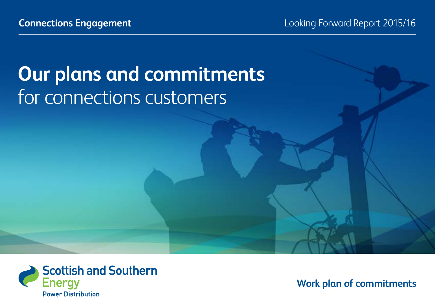# **Our plans and commitments**  for connections customers



**Work plan of commitments**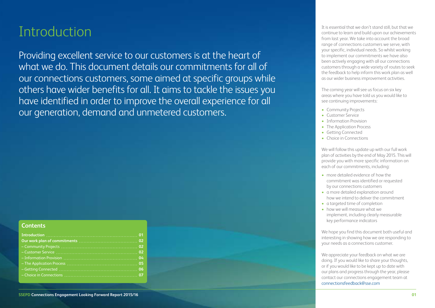### **Introduction**

Providing excellent service to our customers is at the heart of what we do. This document details our commitments for all of our connections customers, some aimed at specific groups while others have wider benefits for all. It aims to tackle the issues you have identified in order to improve the overall experience for all our generation, demand and unmetered customers.

#### **Contents**

It is essential that we don't stand still, but that we continue to learn and build upon our achievements from last year. We take into account the broad range of connections customers we serve, with your specific, individual needs. So whilst working to implement our commitments we have also been actively engaging with all our connections customers through a wide variety of routes to seek the feedback to help inform this work plan as well as our wider business improvement activities.

The coming year will see us focus on six key areas where you have told us you would like to see continuing improvements:

- Community Projects
- Customer Service
- Information Provision
- The Application Process
- Getting Connected
- Choice in Connections

We will follow this update up with our full work plan of activities by the end of May 2015. This will provide you with more specific information on each of our commitments, including:

- more detailed evidence of how the commitment was identified or requested by our connections customers
- a more detailed explanation around how we intend to deliver the commitment
- a targeted time of completion
- how we will measure what we implement, including clearly measurable key performance indicators

We hope you find this document both useful and interesting in showing how we are responding to your needs as a connections customer.

We appreciate your feedback on what we are doing. If you would like to share your thoughts, or if you would like to be kept up to date with our plans and progress through the year, please contact our connections engagement team at connectionsfeedback@sse.com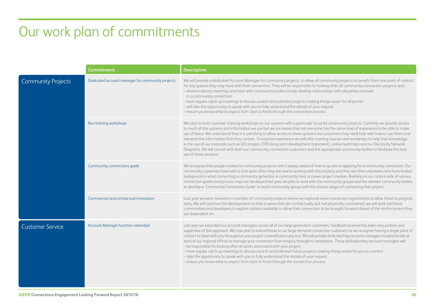## Our work plan of commitments

|                           | <b>Commitment</b>                                | <b>Description</b>                                                                                                                                                                                                                                                                                                                                                                                                                                                                                                                                                                                                                                                                                                                                                                                                                                                                                                                                                            |
|---------------------------|--------------------------------------------------|-------------------------------------------------------------------------------------------------------------------------------------------------------------------------------------------------------------------------------------------------------------------------------------------------------------------------------------------------------------------------------------------------------------------------------------------------------------------------------------------------------------------------------------------------------------------------------------------------------------------------------------------------------------------------------------------------------------------------------------------------------------------------------------------------------------------------------------------------------------------------------------------------------------------------------------------------------------------------------|
| <b>Community Projects</b> | Dedicated account manager for community projects | We will provide a dedicated Account Manager for community projects, to allow all community projects to benefit from one point of contact<br>for any queries they may have with their connection. They will be responsible for looking after all community connection projects and;<br>- attend industry meetings and liaise with community bodies to help develop relationships with all parties involved<br>in a community connection<br>- have regular catch up meetings to discuss current and potential projects making things easier for all parties<br>- will take the opportunity to speak with you to fully understand the details of your request<br>- ensure you know what to expect from start to finish through the connection process.                                                                                                                                                                                                                           |
|                           | Run training workshops                           | We plan to host customer training workshops on our systems with a particular focus for community projects. Currently we provide access<br>to much of the systems and information we use but we are aware that not everyone has the same level of experience to be able to make<br>use of these. We understand that it is one thing to allow access to these systems but customers may need help with how to use them and<br>interpret the information that they contain. To improve experience we will offer training courses and workshops to help their knowledge<br>in the use of our materials such as GIS (maps), LTDS (long term development statement), online heatmaps and our Electricity Network<br>Diagrams. We will consult with both our community connection customers and the appropriate community bodies to facilitate the best<br>use of these sessions.                                                                                                    |
|                           | Community connections guide                      | We recognise that people involved in community projects aren't always aware of how to go about applying for a community connection. Our<br>community customers have told us that quite often they are new to working with this industry and they are often volunteers who have limited<br>background in what connecting a community generator or community heat or power project involves. Building on our current suite of various<br>connection quides and process maps we developed last year, we plan to work with the community groups and the relevant community bodies<br>to develop a 'Community Connection Guide' to assist community groups with the various stages of connecting their project.                                                                                                                                                                                                                                                                    |
|                           | Commercial and contractual innovation            | Last year we were involved in a number of community projects where we explored novel connection agreements to allow these to progress<br>early. We will continue this development so that in areas that are contractually, but not physically constrained, we will work with local<br>communities and developers to explore options available to allow their connection to be brought forward ahead of the reinforcement they<br>are dependent on.                                                                                                                                                                                                                                                                                                                                                                                                                                                                                                                            |
| <b>Customer Service</b>   | Account Manager function extended                | Last year we extended our account managers across all of our large generation customers. Feedback received has been very positive and<br>supportive of this approach. We now plan to extend these to our large demand connection customers as we recognise having a single point of<br>contact to liaise with you throughout your project is beneficial to you too. We will provide dedicated key account managers located locally at<br>each of our regional offices to manage your connection from enquiry through to completion. These dedicated key account managers will:<br>- be responsible for looking after all works associated with your project<br>- have regular catch up meetings to discuss current and potential future projects making things easier for you to connect<br>- take the opportunity to speak with you to fully understand the details of your request<br>- ensure you know what to expect from start to finish through the connection process. |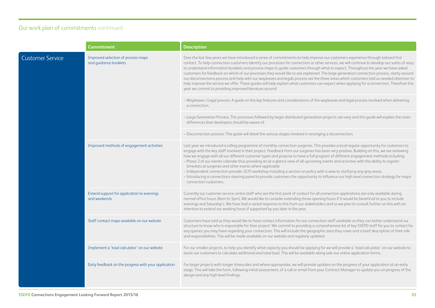|                         | <b>Commitment</b>                                           | <b>Description</b>                                                                                                                                                                                                                                                                                                                                                                                                                                                                                                                                                                                                                                                                                                                                                                                                                                                                                                                  |
|-------------------------|-------------------------------------------------------------|-------------------------------------------------------------------------------------------------------------------------------------------------------------------------------------------------------------------------------------------------------------------------------------------------------------------------------------------------------------------------------------------------------------------------------------------------------------------------------------------------------------------------------------------------------------------------------------------------------------------------------------------------------------------------------------------------------------------------------------------------------------------------------------------------------------------------------------------------------------------------------------------------------------------------------------|
| <b>Customer Service</b> | Improved selection of process maps<br>and guidance booklets | Over the last few years we have introduced a series of commitments to help improve our customers experience through tailored first<br>contact. To help connection customers identify our processes for connection or other services, we will continue to develop our suites of easy<br>to understand information booklets and process maps to guide customers through what to expect. Throughout the year we have asked<br>customers for feedback on which of our processes they would like to see explained. The large generation connection process, clarity around<br>our disconnections process and help with our wayleaves and legals process are the three areas which customers told us needed attention to<br>help improve the service we offer. These guides will help explain what customers can expect when applying for a connection. Therefore this<br>year we commit to providing improved literature around:         |
|                         |                                                             | - Wayleaves / Legal process: A guide on the key features and considerations of the wayleaves and legal process involved when delivering<br>a connection.                                                                                                                                                                                                                                                                                                                                                                                                                                                                                                                                                                                                                                                                                                                                                                            |
|                         |                                                             | - Large Generation Process: The processes followed by larger distributed generation projects can vary and this guide will explain the main<br>differences that developers should be aware of.                                                                                                                                                                                                                                                                                                                                                                                                                                                                                                                                                                                                                                                                                                                                       |
|                         |                                                             | - Disconnection process: This guide will detail the various stages involved in arranging a disconnection.                                                                                                                                                                                                                                                                                                                                                                                                                                                                                                                                                                                                                                                                                                                                                                                                                           |
|                         | Improved methods of engagement activities                   | Last year we introduced a rolling programme of monthly connection surgeries. This provides a local regular opportunity for customers to<br>engage with the key staff involved in their project. Feedback from our surgeries has been very positive. Building on this, we are reviewing<br>how we engage with all our different customer types and propose to have a full program of different engagement methods including;<br>- Phase 2 of our events calendar thus providing an at a glance view of all upcoming events and activities with the ability to register<br>timeslots at surgeries and other events where applicable<br>- Independent connection provider (ICP) workshop including a section on policy with a view to clarifying any grey areas,<br>- Introducing a connections steering panel to provide customers the opportunity to influence our high level connection strategy for major<br>connection customers. |
|                         | Extend support for application to evenings<br>and weekends  | Currently our customer service centre staff who are the first point of contact for all connection applications are only available during<br>normal office hours (8am to 5pm). We would like to consider extending those opening hours if it would be beneficial to you to include<br>evenings and Saturday's. We have had a varied response to this from our stakeholders and so we plan to consult further on this with an<br>intention to extend our working hours if supported by you later in the year.                                                                                                                                                                                                                                                                                                                                                                                                                         |
|                         | Staff contact maps available on our website                 | Customers have told us they would like to have contact information for our connection staff available so they can better understand our<br>structure to know who is responsible for their project. We commit to providing a comprehensive list of key SSEPD staff for you to contact for<br>any queries you may have regarding your connection. This will include the geographic area they cover and a brief description of their role<br>and responsibilities. This will be made available on our website and regularly updated.                                                                                                                                                                                                                                                                                                                                                                                                   |
|                         | Implement a 'load calculator' on our website                | For our smaller projects, to help you identify what capacity you should be applying for we will provide a 'load calculator' on our website to<br>assist our customers to calculate additional and total load. This will be available along side our online application forms.                                                                                                                                                                                                                                                                                                                                                                                                                                                                                                                                                                                                                                                       |
|                         | Early feedback on the progress with your application        | For larger projects with longer timescales and where appropriate, we will provide updates on the progress of your application at an early<br>stage. This will take the form, following initial assessment, of a call or email from your Contract Manager to update you on progress of the<br>design and any high level findings.                                                                                                                                                                                                                                                                                                                                                                                                                                                                                                                                                                                                    |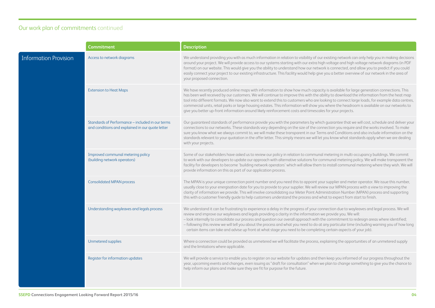|                              | <b>Commitment</b>                                                                                    | <b>Description</b>                                                                                                                                                                                                                                                                                                                                                                                                                                                                                                                                                                                                                                                                        |
|------------------------------|------------------------------------------------------------------------------------------------------|-------------------------------------------------------------------------------------------------------------------------------------------------------------------------------------------------------------------------------------------------------------------------------------------------------------------------------------------------------------------------------------------------------------------------------------------------------------------------------------------------------------------------------------------------------------------------------------------------------------------------------------------------------------------------------------------|
| <b>Information Provision</b> | Access to network diagrams                                                                           | We understand providing you with as much information in relation to visibility of our existing network can only help you in making decisions<br>around your project. We will provide access to our systems starting with our extra high voltage and high voltage network diagrams (in PDF<br>format) on our website. This would give you the ability to understand how our network is connected, and allow you to predict if you could<br>easily connect your project to our existing infrastructure. This facility would help give you a better overview of our network in the area of<br>your proposed connection.                                                                      |
|                              | <b>Extension to Heat Maps</b>                                                                        | We have recently produced online maps with information to show how much capacity is available for large generation connections. This<br>has been well received by our customers. We will continue to improve this with the ability to download the information from the heat map<br>tool into different formats. We now also want to extend this to customers who are looking to connect large loads, for example data centres,<br>commercial units, retail parks or large housing estates. This information will show you where the headroom is available on our networks to<br>give you better up-front information around likely reinforcement costs and timescales for your projects. |
|                              | Standards of Performance – included in our terms<br>and conditions and explained in our quote letter | Our guaranteed standards of performance provide you with the parameters by which guarantee that we will cost, schedule and deliver your<br>connections to our networks. These standards vary depending on the size of the connection you require and the works involved. To make<br>sure you know what we always commit to, we will make these transparent in our Terms and Conditions and also include information on the<br>standards relevant to your quotation in the offer letter. This simply means we will let you know what standards apply when we are dealing<br>with your projects.                                                                                            |
|                              | Improved communal metering policy<br>(building network operators)                                    | Some of our stakeholders have asked us to review our policy in relation to communal metering in multi-occupancy buildings. We commit<br>to work with our developers to update our approach with alternative solutions for communal metering policy. We will make transparent the<br>facility for developers to become 'building network operators' which will allow them to install communal metering where they wish. We will<br>provide information on this as part of our application process.                                                                                                                                                                                         |
|                              | <b>Consolidated MPAN process</b>                                                                     | The MPAN is your unique connection point number and you need this to appoint your supplier and meter operator. We issue this number,<br>usually close to your energisation date for you to provide to your supplier. We will review our MPAN process with a view to improving the<br>clarity of information we provide. This will involve consolidating our Meter Point Administration Number (MPAN) process and supporting<br>this with a customer friendly quide to help customers understand the process and what to expect from start to finish.                                                                                                                                      |
|                              | Understanding wayleaves and legals process                                                           | We understand it can be frustrating to experience a delay in the progress of your connection due to wayleaves and legal process. We will<br>review and improve our wayleaves and legals providing a clarity in the information we provide you. We will:<br>- look internally to consolidate our process and question our overall approach with the commitment to redesign areas where identified;<br>- following this review we will tell you about the process and what you need to do at any particular time (including warning you of how long<br>certain items can take and advise up front at what stage you need to be completing certain aspects of your job).                     |
|                              | Unmetered supplies                                                                                   | Where a connection could be provided as unmetered we will facilitate the process, explaining the opportunities of an unmetered supply<br>and the limitations where applicable.                                                                                                                                                                                                                                                                                                                                                                                                                                                                                                            |
|                              | Register for information updates                                                                     | We will provide a service to enable you to register on our website for updates and then keep you informed of our progress throughout the<br>year, upcoming events and changes, even issuing as "draft for consultation" when we plan to change something to give you the chance to<br>help inform our plans and make sure they are fit for purpose for the future.                                                                                                                                                                                                                                                                                                                        |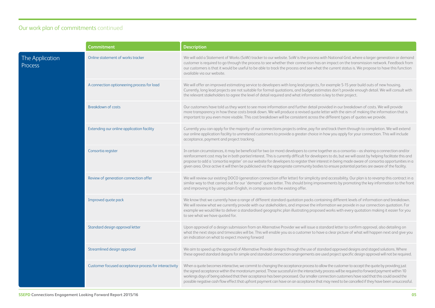|                            | Commitment                                            | <b>Description</b>                                                                                                                                                                                                                                                                                                                                                                                                                                                                                                                                                                                               |
|----------------------------|-------------------------------------------------------|------------------------------------------------------------------------------------------------------------------------------------------------------------------------------------------------------------------------------------------------------------------------------------------------------------------------------------------------------------------------------------------------------------------------------------------------------------------------------------------------------------------------------------------------------------------------------------------------------------------|
| The Application<br>Process | Online statement of works tracker                     | We will add a Statement of Works (SoW) tracker to our website. SoW is the process with National Grid, where a larger generation or demand<br>customer is required to go through the process to see whether their connection has an impact on the transmission network. Feedback from<br>our customers is that it would be useful to be able to track the process and see what the current status is. We propose to have this function<br>available via our website.                                                                                                                                              |
|                            | A connection optioneering process for load            | We will offer an improved estimating service to developers with long lead projects, for example 5-15 year build outs of new housing.<br>Currently, long lead projects are not suitable for formal quotations, and budget estimates don't provide enough detail. We will consult with<br>the relevant stakeholders to agree the level of detail required and what information is key to their project.                                                                                                                                                                                                            |
|                            | <b>Breakdown of costs</b>                             | Our customers have told us they want to see more information and further detail provided in our breakdown of costs. We will provide<br>more transparency in how these costs break down. We will produce a revised quote letter with the aim of making the information that is<br>important to you even more visable. This cost breakdown will be consistent across the different types of quotes we provide.                                                                                                                                                                                                     |
|                            | Extending our online application facility             | Currently you can apply for the majority of our connections projects online, pay for and track them through to completion. We will extend<br>our online application facility to unmetered customers to provide a greater choice in how you apply for your connection. This will include<br>acceptance, payment and project tracking.                                                                                                                                                                                                                                                                             |
|                            | Consortia register                                    | In certain circumstances, it may be beneficial for two (or more) developers to come together as a consortia - as sharing a connection and/or<br>reinforcement cost may be in both parties' interest. This is currently difficult for developers to do, but we will assist by helping facilitate this and<br>propose to add a 'consortia register' on our website for developers to register their interest in being made aware of consortia opportunities in a<br>given area. Once active it will then be publicised via the appropriate community bodies to ensure potential parties are aware of the facility. |
|                            | Review of generation connection offer                 | We will review our existing DOCO (generation connection offer letter) for simplicity and accessibility. Our plan is to revamp this contract in a<br>similar way to that carried out for our 'demand' quote letter. This should bring improvements by promoting the key information to the front<br>and improving it by using plain English, in comparison to the existing offer.                                                                                                                                                                                                                                 |
|                            | Improved quote pack                                   | We know that we currently have a range of different standard quotation packs containing different levels of information and breakdown.<br>We will review what we currently provide with our stakeholders, and improve the information we provide in our connection quotation. For<br>example we would like to deliver a standardised geographic plan illustrating proposed works with every quotation making it easier for you<br>to see what we have quoted for.                                                                                                                                                |
|                            | Standard design approval letter                       | Upon approval of a design submission from an Alternative Provider we will issue a standard letter to confirm approval, also detailing on<br>what the next steps and timescales will be. This will enable you as a customer to have a clear picture of what will happen next and give you<br>an indication on what to expect moving forward                                                                                                                                                                                                                                                                       |
|                            | Streamlined design approval                           | We aim to speed up the approval of Alternative Provider designs through the use of standard approved designs and staged solutions. Where<br>these agreed standard designs for simple and standard connection arrangements are used project specific design approval will not be required.                                                                                                                                                                                                                                                                                                                        |
|                            | Customer focused acceptance process for interactivity | When a quote becomes interactive, we commit to changing the acceptance process to allow the customer to accept the quote by providing just<br>the signed acceptance within the moratorium period. Those successful in the interactivity process will be required to forward payment within 10<br>workings days of being advised that their acceptance has been processed. Our smaller connection customers have said that this could avoid the<br>possible negative cash flow effect that upfront payment can have on an acceptance that may need to be cancelled if they have been unsuccessful.                |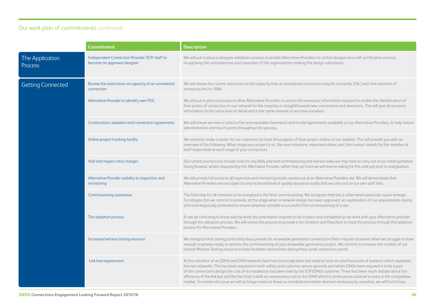|                            | <b>Commitment</b>                                                             | <b>Description</b>                                                                                                                                                                                                                                                                                                                                                                                                                                                                                                                                                                                                                                                                                                   |
|----------------------------|-------------------------------------------------------------------------------|----------------------------------------------------------------------------------------------------------------------------------------------------------------------------------------------------------------------------------------------------------------------------------------------------------------------------------------------------------------------------------------------------------------------------------------------------------------------------------------------------------------------------------------------------------------------------------------------------------------------------------------------------------------------------------------------------------------------|
| The Application<br>Process | Independent Connection Provider (ICP) staff to<br>become an approved designer | We will put in place a designer validation process to enable Alternative Providers to control designs via a self-certification process,<br>recognising the competencies and capacities of the organisations making the design submission.                                                                                                                                                                                                                                                                                                                                                                                                                                                                            |
| <b>Getting Connected</b>   | Review the restrictions on capacity of an unmetered<br>connection             | We will review the current restriction on the capacity that an unmetered connection may be (currently 25A.) with the intention of<br>increasing this to 100A.                                                                                                                                                                                                                                                                                                                                                                                                                                                                                                                                                        |
|                            | Alternative Provider to identify own POC                                      | We will put in place a process to allow Alternative Providers to access the necessary information required to enable the identification of<br>their points of connection to our network for the majority or straightforward new connections and diversions. This will give all access to<br>information to the same level of detail and in the same manner as we have ourselves.                                                                                                                                                                                                                                                                                                                                     |
|                            | Construction, adoption and connection agreements                              | We will ensure we have in place a fair and equitable framework and model agreements available to our Alternative Providers, to help reduce<br>administration and touch points throughout the process.                                                                                                                                                                                                                                                                                                                                                                                                                                                                                                                |
|                            | Online project tracking facility                                              | We intend to make it easier for our customers to track the progress of their project online on our website. This will provide you with an<br>overview of the following: What stage your project is at, the next milestone, important dates; and, the contact details for the member of<br>staff responsible at each stage of your connection.                                                                                                                                                                                                                                                                                                                                                                        |
|                            | Visit and inspect retro charges                                               | Our current practice is to include costs for any likely planned commissioning and witness tasks we may have to carry out in our initial quotation.<br>Going forward, where requested by the Alternative Provider, rather than up-front we will reserve asking for this until just prior to energisation.                                                                                                                                                                                                                                                                                                                                                                                                             |
|                            | Alternative Provider visibility to inspection and<br>monitoring               | We will provide full access to all inspection and monitoring results carried out at an Alternative Providers site. We will demonstrate that<br>Alternative Providers are not subject to any increased level of quality assurance audits that we carry out on our own staff sites.                                                                                                                                                                                                                                                                                                                                                                                                                                    |
|                            | Commissioning assistance                                                      | The final step for all networks to be energised is the final commissioning. We recognise that this is often when particular issues emerge.<br>To mitigate this we commit to provide, at the stage when a network design has been approved, an explanation of our requirements clearly<br>and unambiguously presented to ensure wherever possible a successful first commissioning of a site.                                                                                                                                                                                                                                                                                                                         |
|                            | The adoption process                                                          | It can be confusing to know exactly what documentation requires to be in place and completed as we work with your Alternative provider<br>through the adoption process. We will review this process to provide a list, timeline and flowchart to track the process through the adoption<br>process for Alternative Providers                                                                                                                                                                                                                                                                                                                                                                                         |
|                            | Increased witness testing resource                                            | We recognise that during particularly busy periods for renewable generation connections there may be occasions when we struggle to have<br>enough engineers ready to witness the commissioning of your renewable generation project. We commit to increase the number of our<br>trained Witness Testing resource to help facilitate connections during these peak connection points.                                                                                                                                                                                                                                                                                                                                 |
|                            | Link box requirement                                                          | At the interface of an IDNO and DNO network there has historically been the need to have an interface point of isolation which separates<br>the two networks. This has been required on both safety and customer service grounds and where DNOs have required it to be a part<br>of the connections design the cost of its installation has been met by the ICP/IDNOs customer. There has been much debate about the<br>efficiency of the link box and the fact that it adds an unnecessary cost to the IDNO which is construed as a barrier to entry in the competitive<br>market. To resolve this issue we will no longer insist on these as standard and where deemed necessary by ourselves, we will fund these. |